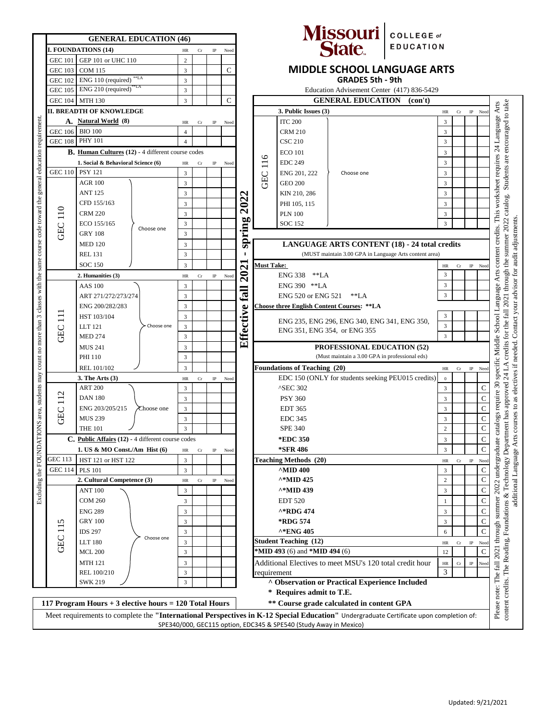| <b>GENERAL EDUCATION (46)</b>                                                                                         |                                                                                                                                                                                                             |                                                                                                      |                         |                                 |             |                                    |                                            |                                                                                                     |                                                                              | Missouri COLLEGE of                                    |                  |                                 |                     |                                                                                                                                |  |
|-----------------------------------------------------------------------------------------------------------------------|-------------------------------------------------------------------------------------------------------------------------------------------------------------------------------------------------------------|------------------------------------------------------------------------------------------------------|-------------------------|---------------------------------|-------------|------------------------------------|--------------------------------------------|-----------------------------------------------------------------------------------------------------|------------------------------------------------------------------------------|--------------------------------------------------------|------------------|---------------------------------|---------------------|--------------------------------------------------------------------------------------------------------------------------------|--|
| <b>I. FOUNDATIONS (14)</b><br>$_{\rm IP}$<br>Need<br>HR                                                               |                                                                                                                                                                                                             |                                                                                                      |                         |                                 |             |                                    |                                            |                                                                                                     |                                                                              |                                                        | <b>EDUCATION</b> |                                 |                     |                                                                                                                                |  |
|                                                                                                                       | GEP 101 or UHC 110<br><b>GEC 101</b>                                                                                                                                                                        |                                                                                                      |                         | ${\rm Cr}$                      |             |                                    |                                            |                                                                                                     |                                                                              |                                                        |                  |                                 |                     |                                                                                                                                |  |
|                                                                                                                       | <b>GEC 103</b>                                                                                                                                                                                              | <b>COM 115</b>                                                                                       | $\overline{3}$          | $\overline{c}$<br>$\mathsf{C}$  |             | <b>MIDDLE SCHOOL LANGUAGE ARTS</b> |                                            |                                                                                                     |                                                                              |                                                        |                  |                                 |                     |                                                                                                                                |  |
|                                                                                                                       |                                                                                                                                                                                                             | **LA<br>GEC 102 ENG 110 (required)                                                                   | $\overline{3}$          |                                 |             |                                    |                                            | <b>GRADES 5th - 9th</b>                                                                             |                                                                              |                                                        |                  |                                 |                     |                                                                                                                                |  |
|                                                                                                                       | GEC 105 ENG 210 (required)<br>GEC 104 MTH 130                                                                                                                                                               |                                                                                                      |                         | $\overline{3}$                  |             |                                    | Education Advisement Center (417) 836-5429 |                                                                                                     |                                                                              |                                                        |                  |                                 |                     |                                                                                                                                |  |
|                                                                                                                       |                                                                                                                                                                                                             |                                                                                                      |                         | $\overline{3}$                  |             | C                                  |                                            | <b>GENERAL EDUCATION</b> (con't)                                                                    |                                                                              |                                                        |                  |                                 |                     |                                                                                                                                |  |
|                                                                                                                       | II. BREADTH OF KNOWLEDGE                                                                                                                                                                                    |                                                                                                      |                         |                                 |             |                                    |                                            | 3. Public Issues (3)<br>$\rm Cr$<br>$\rm IP$<br>HR<br>Need                                          |                                                                              |                                                        |                  |                                 |                     |                                                                                                                                |  |
|                                                                                                                       | A. Natural World (8)                                                                                                                                                                                        |                                                                                                      |                         | $_{\rm IP}$<br>HR<br>Cr<br>Need |             |                                    |                                            |                                                                                                     | <b>ITC 200</b><br>3                                                          |                                                        |                  |                                 |                     |                                                                                                                                |  |
|                                                                                                                       | GEC 106 BIO 100                                                                                                                                                                                             |                                                                                                      | $\overline{4}$          |                                 |             |                                    |                                            |                                                                                                     | <b>CRM 210</b>                                                               |                                                        | 3                |                                 |                     |                                                                                                                                |  |
|                                                                                                                       | GEC 108 PHY 101                                                                                                                                                                                             |                                                                                                      | $\overline{4}$          |                                 |             |                                    |                                            |                                                                                                     | <b>CSC 210</b>                                                               |                                                        | $\overline{3}$   |                                 |                     |                                                                                                                                |  |
| NS area, students may count no more than 3 classes with the same course code toward the general education requirement | <b>B.</b> Human Cultures (12) - 4 different course codes                                                                                                                                                    |                                                                                                      |                         |                                 |             |                                    |                                            |                                                                                                     | <b>ECO 101</b>                                                               |                                                        | 3                |                                 |                     |                                                                                                                                |  |
|                                                                                                                       | 1. Social & Behavioral Science (6)<br>$\rm{HR}$<br>Cr<br>$_{\rm IP}$                                                                                                                                        |                                                                                                      |                         |                                 |             | Need                               |                                            | 116                                                                                                 | <b>EDC 249</b>                                                               |                                                        |                  | 3                               |                     |                                                                                                                                |  |
|                                                                                                                       | GEC 110   PSY 121                                                                                                                                                                                           |                                                                                                      |                         |                                 |             |                                    |                                            | ENG 201, 222                                                                                        | Choose one                                                                   |                                                        | 3                |                                 |                     |                                                                                                                                |  |
|                                                                                                                       |                                                                                                                                                                                                             | <b>AGR 100</b>                                                                                       | 3<br>3                  |                                 |             |                                    | 2022                                       | GEC                                                                                                 | <b>GEO 200</b>                                                               |                                                        |                  | $\overline{3}$                  |                     |                                                                                                                                |  |
|                                                                                                                       |                                                                                                                                                                                                             | <b>ANT 125</b>                                                                                       | 3                       |                                 |             |                                    |                                            |                                                                                                     | KIN 210, 286                                                                 |                                                        |                  | 3                               |                     |                                                                                                                                |  |
|                                                                                                                       |                                                                                                                                                                                                             | CFD 155/163                                                                                          | $\overline{3}$          |                                 |             |                                    |                                            |                                                                                                     | PHI 105, 115                                                                 |                                                        |                  | 3                               |                     |                                                                                                                                |  |
|                                                                                                                       |                                                                                                                                                                                                             | <b>CRM 220</b>                                                                                       | $\overline{3}$          |                                 |             |                                    |                                            |                                                                                                     | <b>PLN 100</b>                                                               |                                                        |                  | 3                               |                     |                                                                                                                                |  |
|                                                                                                                       |                                                                                                                                                                                                             | ECO 155/165                                                                                          | $\overline{3}$          |                                 |             |                                    |                                            |                                                                                                     | <b>SOC 152</b>                                                               |                                                        |                  | 3                               |                     |                                                                                                                                |  |
|                                                                                                                       | <b>GEC 110</b>                                                                                                                                                                                              | Choose one<br><b>GRY 108</b>                                                                         | $\overline{\mathbf{3}}$ |                                 |             |                                    | spring                                     |                                                                                                     |                                                                              |                                                        |                  |                                 |                     | 2021 through the summer 2022 catalog. Students are encouraged to take<br>credits. This worksheet requires 24 Language Arts     |  |
|                                                                                                                       |                                                                                                                                                                                                             | <b>MED 120</b>                                                                                       | $\overline{3}$          |                                 |             |                                    |                                            |                                                                                                     |                                                                              | <b>LANGUAGE ARTS CONTENT (18) - 24 total credits</b>   |                  |                                 |                     |                                                                                                                                |  |
|                                                                                                                       |                                                                                                                                                                                                             | <b>REL 131</b>                                                                                       | $\mathbf{3}$            |                                 |             |                                    | ٠                                          |                                                                                                     |                                                                              | (MUST maintain 3.00 GPA in Language Arts content area) |                  |                                 |                     |                                                                                                                                |  |
|                                                                                                                       |                                                                                                                                                                                                             | <b>SOC 150</b>                                                                                       | 3                       |                                 |             |                                    |                                            |                                                                                                     |                                                                              |                                                        |                  | $\rm{HR}$<br>Cr                 | $_{\rm IP}$<br>Need | content                                                                                                                        |  |
|                                                                                                                       |                                                                                                                                                                                                             | 2. Humanities (3)                                                                                    | $\rm{HR}$               | $_{\rm Cr}$                     | $_{\rm IP}$ | Need                               | 2021                                       | <b>Must Take:</b><br>ENG 338 **LA                                                                   |                                                                              |                                                        |                  | 3                               |                     | Arts                                                                                                                           |  |
|                                                                                                                       |                                                                                                                                                                                                             | <b>AAS</b> 100                                                                                       | 3                       |                                 |             |                                    |                                            |                                                                                                     | ENG 390 ** LA                                                                |                                                        |                  |                                 |                     |                                                                                                                                |  |
|                                                                                                                       |                                                                                                                                                                                                             | ART 271/272/273/274                                                                                  | $\overline{3}$          |                                 |             |                                    | <b>Eall</b>                                |                                                                                                     |                                                                              |                                                        |                  |                                 |                     | guage                                                                                                                          |  |
|                                                                                                                       |                                                                                                                                                                                                             | ENG 200/282/283                                                                                      | $\overline{3}$          |                                 |             |                                    | Effective                                  | <b>ENG 520 or ENG 521</b><br>$*LA$<br><b>Choose three English Content Courses: **LA</b>             |                                                                              |                                                        |                  |                                 |                     |                                                                                                                                |  |
|                                                                                                                       |                                                                                                                                                                                                             | HST 103/104                                                                                          | $\overline{3}$          |                                 |             |                                    |                                            |                                                                                                     | 3                                                                            |                                                        | fall             |                                 |                     |                                                                                                                                |  |
|                                                                                                                       |                                                                                                                                                                                                             | Choose one<br>LLT 121                                                                                | $\overline{3}$          |                                 |             |                                    |                                            |                                                                                                     | ENG 235, ENG 296, ENG 340, ENG 341, ENG 350,<br>ENG 351, ENG 354, or ENG 355 |                                                        |                  |                                 |                     |                                                                                                                                |  |
|                                                                                                                       | GEC <sub>111</sub>                                                                                                                                                                                          | <b>MED 274</b>                                                                                       | $\overline{3}$          |                                 |             |                                    |                                            |                                                                                                     |                                                                              |                                                        |                  |                                 |                     |                                                                                                                                |  |
|                                                                                                                       |                                                                                                                                                                                                             |                                                                                                      |                         |                                 |             |                                    |                                            | $\mathbf{3}$                                                                                        |                                                                              |                                                        |                  |                                 |                     | credits for the                                                                                                                |  |
|                                                                                                                       |                                                                                                                                                                                                             | <b>MUS 241</b><br>PHI 110                                                                            | 3<br>$\overline{3}$     |                                 |             |                                    |                                            | <b>PROFESSIONAL EDUCATION (52)</b><br>(Must maintain a 3.00 GPA in professional eds)                |                                                                              |                                                        |                  |                                 |                     |                                                                                                                                |  |
|                                                                                                                       |                                                                                                                                                                                                             |                                                                                                      | $\overline{3}$          |                                 |             |                                    |                                            | <b>Foundations of Teaching (20)</b>                                                                 |                                                                              |                                                        |                  |                                 |                     |                                                                                                                                |  |
|                                                                                                                       |                                                                                                                                                                                                             | REL 101/102<br>3. The Arts $(3)$                                                                     |                         |                                 |             |                                    |                                            |                                                                                                     |                                                                              |                                                        |                  | Cr<br>HR                        | $\rm IP$<br>Need    | specific Middle School<br>$\Delta$<br>$\overline{z}$                                                                           |  |
|                                                                                                                       |                                                                                                                                                                                                             | <b>ART 200</b>                                                                                       | $\rm{HR}$               | Cr                              | $_{\rm IP}$ | Need                               |                                            |                                                                                                     |                                                                              | EDC 150 (ONLY for students seeking PEU015 credits)     | $\boldsymbol{0}$ |                                 | $\mathcal{E}$       |                                                                                                                                |  |
|                                                                                                                       |                                                                                                                                                                                                             |                                                                                                      | 3                       |                                 |             |                                    |                                            |                                                                                                     | <b>^SEC 302</b>                                                              |                                                        | 3                | C                               |                     |                                                                                                                                |  |
|                                                                                                                       | 112<br>GEC                                                                                                                                                                                                  | <b>DAN 180</b><br>ENG 203/205/215                                                                    | 3                       |                                 |             |                                    |                                            |                                                                                                     | <b>PSY 360</b>                                                               |                                                        |                  | 3                               | C                   | require                                                                                                                        |  |
|                                                                                                                       |                                                                                                                                                                                                             | Choose one                                                                                           | 3                       |                                 |             |                                    |                                            |                                                                                                     | <b>EDT 365</b>                                                               |                                                        |                  | 3                               | $\mathsf{C}$        |                                                                                                                                |  |
|                                                                                                                       |                                                                                                                                                                                                             | <b>MUS 239</b>                                                                                       | 3                       |                                 |             |                                    |                                            |                                                                                                     | <b>EDC 345</b>                                                               |                                                        |                  | 3                               | $\mathbf C$         | int has approved<br>talogs                                                                                                     |  |
|                                                                                                                       |                                                                                                                                                                                                             | <b>THE 101</b>                                                                                       |                         | $\mathfrak{Z}$                  |             |                                    |                                            |                                                                                                     | <b>SPE 340</b>                                                               |                                                        | $\sqrt{2}$       | $\mathbf C$<br>$\mathbf C$      |                     |                                                                                                                                |  |
|                                                                                                                       | C. Public Affairs (12) - 4 different course codes                                                                                                                                                           |                                                                                                      |                         |                                 |             |                                    |                                            |                                                                                                     | *EDC 350                                                                     |                                                        |                  | $\mathfrak z$<br>$\overline{3}$ | $\mathsf{C}$        | raduate cat                                                                                                                    |  |
|                                                                                                                       | 1. US & MO Const./Am Hist $(6)$<br>$\rm{HR}$<br>Cr<br>$_{\rm IP}$<br>Need                                                                                                                                   |                                                                                                      |                         |                                 |             |                                    |                                            |                                                                                                     | *SFR 486<br><b>Teaching Methods (20)</b>                                     |                                                        |                  |                                 |                     | additional Language Arts courses to as electives if needed. Contact your advisor for audit adjustments.<br>Technology Departme |  |
|                                                                                                                       | GEC 113                                                                                                                                                                                                     | HST 121 or HST 122                                                                                   | 3                       |                                 |             |                                    |                                            |                                                                                                     |                                                                              |                                                        |                  | $\rm Cr$<br>$\rm{HR}$           | $\rm IP$<br>Need    | undergr                                                                                                                        |  |
|                                                                                                                       | <b>GEC 114</b>                                                                                                                                                                                              | <b>PLS 101</b>                                                                                       | 3                       |                                 |             |                                    |                                            |                                                                                                     | $^{\wedge}$ MID 400                                                          |                                                        |                  | 3                               | $\mathbf C$         |                                                                                                                                |  |
|                                                                                                                       |                                                                                                                                                                                                             | 2. Cultural Competence (3)                                                                           | HR                      | $_{\rm Cr}$                     | $_{\rm IP}$ | Need                               |                                            |                                                                                                     | $^{\wedge*}$ MID 425                                                         |                                                        |                  | $\mathbf{2}$                    | C                   | 2022                                                                                                                           |  |
| Excluding the FOUNDATIOI                                                                                              |                                                                                                                                                                                                             | <b>ANT 100</b>                                                                                       | 3                       |                                 |             |                                    |                                            |                                                                                                     | ^*MID 439                                                                    |                                                        |                  | 3                               | $\mathbf C$         | ž,                                                                                                                             |  |
|                                                                                                                       |                                                                                                                                                                                                             | <b>COM 260</b><br><b>ENG 289</b><br><b>GRY 100</b><br><b>IDS 297</b><br>Choose one<br><b>LLT 180</b> | 3                       |                                 |             |                                    |                                            | <b>EDT 520</b>                                                                                      |                                                                              |                                                        | 1                | C                               |                     |                                                                                                                                |  |
|                                                                                                                       | GEC <sub>115</sub>                                                                                                                                                                                          |                                                                                                      | 3                       |                                 |             |                                    |                                            | ^*RDG 474<br>*RDG 574<br>^*ENG 405<br><b>Student Teaching (12)</b><br>*MID 493 (6) and *MID 494 (6) |                                                                              |                                                        |                  | 3                               | $\mathsf{C}$        |                                                                                                                                |  |
|                                                                                                                       |                                                                                                                                                                                                             |                                                                                                      | $\sqrt{3}$              |                                 |             |                                    |                                            |                                                                                                     |                                                                              |                                                        |                  | $\mathfrak z$                   | $\mathsf{C}$        |                                                                                                                                |  |
|                                                                                                                       |                                                                                                                                                                                                             |                                                                                                      | $\overline{3}$          |                                 |             |                                    |                                            |                                                                                                     |                                                                              |                                                        |                  | 6                               | $\mathbf C$         |                                                                                                                                |  |
|                                                                                                                       |                                                                                                                                                                                                             |                                                                                                      | 3                       |                                 |             |                                    |                                            |                                                                                                     |                                                                              |                                                        |                  | $\rm Cr$<br>$\rm{HR}$           | $\rm IP$<br>Need    |                                                                                                                                |  |
|                                                                                                                       |                                                                                                                                                                                                             | <b>MCL 200</b>                                                                                       | $\sqrt{3}$              |                                 |             |                                    |                                            |                                                                                                     |                                                                              |                                                        |                  | 12                              | $\mathcal{C}$       |                                                                                                                                |  |
|                                                                                                                       |                                                                                                                                                                                                             | <b>MTH 121</b>                                                                                       | $\mathbf{3}$            |                                 |             |                                    |                                            | Additional Electives to meet MSU's 120 total credit hour                                            |                                                                              |                                                        | HR<br>Cr         | $\rm IP$<br>Need                |                     |                                                                                                                                |  |
|                                                                                                                       |                                                                                                                                                                                                             | REL 100/210                                                                                          | $\sqrt{3}$              |                                 |             |                                    |                                            | requirement                                                                                         |                                                                              |                                                        |                  | 3                               |                     |                                                                                                                                |  |
|                                                                                                                       | <sup>^</sup> Observation or Practical Experience Included<br>$\overline{3}$<br><b>SWK 219</b><br>* Requires admit to T.E.                                                                                   |                                                                                                      |                         |                                 |             |                                    |                                            |                                                                                                     |                                                                              |                                                        |                  |                                 |                     |                                                                                                                                |  |
|                                                                                                                       |                                                                                                                                                                                                             |                                                                                                      |                         |                                 |             |                                    |                                            |                                                                                                     |                                                                              |                                                        |                  |                                 |                     | Please note: The fall 2021 through summer<br>content credits. The Reading, Foundations                                         |  |
|                                                                                                                       |                                                                                                                                                                                                             | 117 Program Hours + 3 elective hours = 120 Total Hours                                               |                         |                                 |             |                                    |                                            |                                                                                                     |                                                                              | ** Course grade calculated in content GPA              |                  |                                 |                     |                                                                                                                                |  |
|                                                                                                                       | Meet requirements to complete the "International Perspectives in K-12 Special Education" Undergraduate Certificate upon completion of:<br>SPE340/000, GEC115 option, EDC345 & SPE540 (Study Away in Mexico) |                                                                                                      |                         |                                 |             |                                    |                                            |                                                                                                     |                                                                              |                                                        |                  |                                 |                     |                                                                                                                                |  |